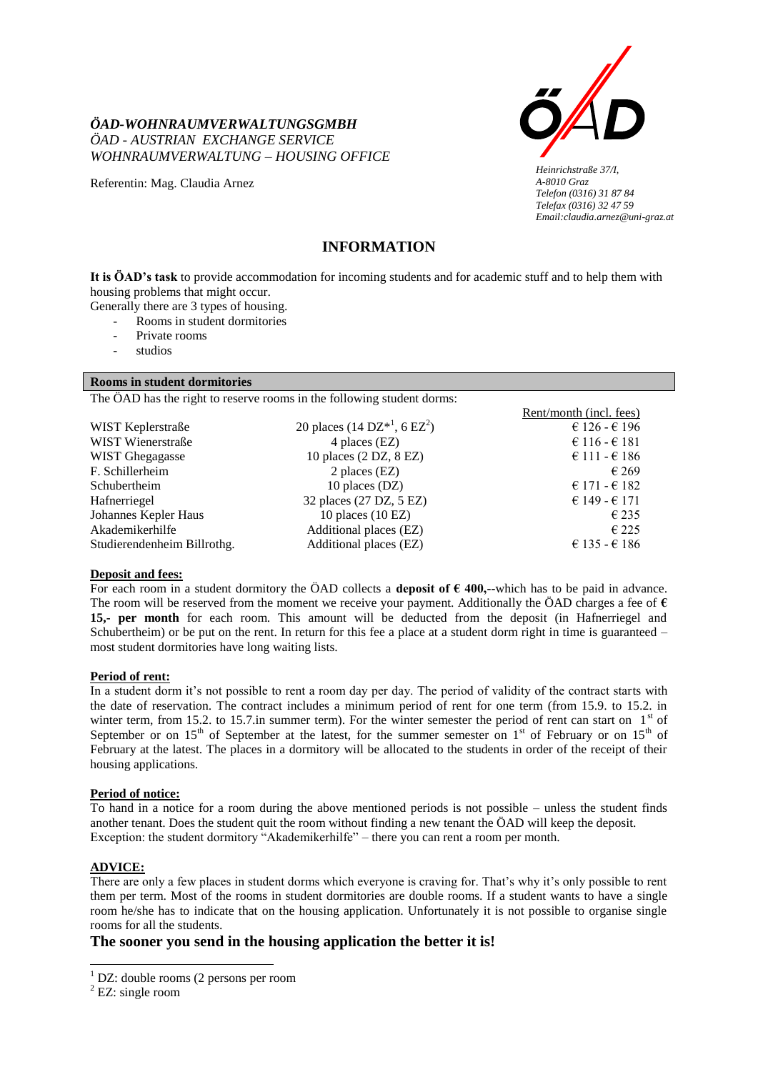

*Heinrichstraße 37/I, A-8010 Graz Telefon (0316) 31 87 84 Telefax (0316) 32 47 59 Email:claudia.arnez@uni-graz.at*

# *ÖAD - AUSTRIAN EXCHANGE SERVICE WOHNRAUMVERWALTUNG – HOUSING OFFICE*

*ÖAD-WOHNRAUMVERWALTUNGSGMBH*

Referentin: Mag. Claudia Arnez

# **INFORMATION**

**It is ÖAD's task** to provide accommodation for incoming students and for academic stuff and to help them with housing problems that might occur.

Generally there are 3 types of housing.

- Rooms in student dormitories
- Private rooms
- studios

# **Rooms in student dormitories**

The ÖAD has the right to reserve rooms in the following student dorms:

|                             |                                                  | Rent/month (incl. fees) |
|-----------------------------|--------------------------------------------------|-------------------------|
| WIST Keplerstraße           | 20 places $(14 \text{ DZ}^{*1}, 6 \text{ EZ}^2)$ | € 126 - € 196           |
| WIST Wienerstraße           | 4 places (EZ)                                    | € 116 - € 181           |
| <b>WIST Ghegagasse</b>      | 10 places (2 DZ, 8 EZ)                           | € 111 - € 186           |
| F. Schillerheim             | 2 places $(EZ)$                                  | $\epsilon$ 269          |
| Schubertheim                | 10 places (DZ)                                   | € 171 - € 182           |
| Hafnerriegel                | 32 places (27 DZ, 5 EZ)                          | € 149 - € 171           |
| Johannes Kepler Haus        | 10 places $(10 EZ)$                              | $\epsilon$ 235          |
| Akademikerhilfe             | Additional places (EZ)                           | $\epsilon$ 225          |
| Studierendenheim Billrothg. | Additional places (EZ)                           | € 135 - € 186           |
|                             |                                                  |                         |

# **Deposit and fees:**

For each room in a student dormitory the ÖAD collects a **deposit of € 400,--**which has to be paid in advance. The room will be reserved from the moment we receive your payment. Additionally the ÖAD charges a fee of  $\epsilon$ **15,- per month** for each room. This amount will be deducted from the deposit (in Hafnerriegel and Schubertheim) or be put on the rent. In return for this fee a place at a student dorm right in time is guaranteed – most student dormitories have long waiting lists.

# **Period of rent:**

In a student dorm it's not possible to rent a room day per day. The period of validity of the contract starts with the date of reservation. The contract includes a minimum period of rent for one term (from 15.9. to 15.2. in winter term, from 15.2. to 15.7.in summer term). For the winter semester the period of rent can start on  $1<sup>st</sup>$  of September or on  $15<sup>th</sup>$  of September at the latest, for the summer semester on  $1<sup>st</sup>$  of February or on  $15<sup>th</sup>$  of February at the latest. The places in a dormitory will be allocated to the students in order of the receipt of their housing applications.

# **Period of notice:**

To hand in a notice for a room during the above mentioned periods is not possible – unless the student finds another tenant. Does the student quit the room without finding a new tenant the ÖAD will keep the deposit. Exception: the student dormitory "Akademikerhilfe" – there you can rent a room per month.

# **ADVICE:**

 $\overline{\phantom{a}}$ 

There are only a few places in student dorms which everyone is craving for. That's why it's only possible to rent them per term. Most of the rooms in student dormitories are double rooms. If a student wants to have a single room he/she has to indicate that on the housing application. Unfortunately it is not possible to organise single rooms for all the students.

# **The sooner you send in the housing application the better it is!**

<sup>&</sup>lt;sup>1</sup> DZ: double rooms (2 persons per room

 $2$  EZ: single room